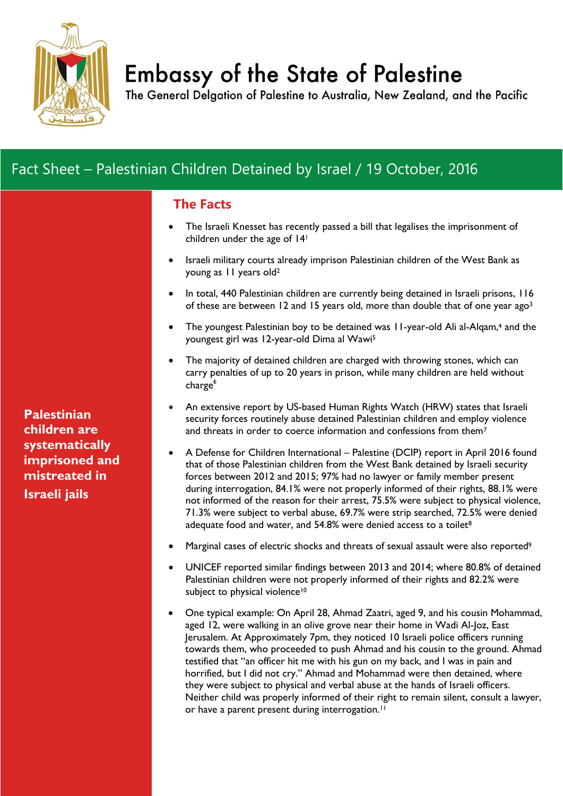

# **Embassy of the State of Palestine**

The General Delgation of Palestine to Australia, New Zealand, and the Pacific

## Fact Sheet – Palestinian Children Detained by Israel / 19 October, 2016

## **The Facts**

- The Israeli Knesset has recently passed a bill that legalises the imprisonment of children under the age of 14<sup>1</sup>
- Israeli military courts already imprison Palestinian children of the West Bank as young as 11 years old<sup>2</sup>
- In total, 440 Palestinian children are currently being detained in Israeli prisons, 116 of these are between 12 and 15 years old, more than double that of one year ago<sup>3</sup>
- The youngest Palestinian boy to be detained was 11-year-old Ali al-Alqam,<sup>4</sup> and the youngest girl was 12-year-old Dima al Wawi<sup>5</sup>
- The majority of detained children are charged with throwing stones, which can carry penalties of up to 20 years in prison, while many children are held without charge<sup>6</sup>
- An extensive report by US-based Human Rights Watch (HRW) states that Israeli security forces routinely abuse detained Palestinian children and employ violence and threats in order to coerce information and confessions from them<sup>7</sup>
- A Defense for Children International Palestine (DCIP) report in April 2016 found that of those Palestinian children from the West Bank detained by Israeli security forces between 2012 and 2015; 97% had no lawyer or family member present during interrogation, 84.1% were not properly informed of their rights, 88.1% were not informed of the reason for their arrest, 75.5% were subject to physical violence, 71.3% were subject to verbal abuse, 69.7% were strip searched, 72.5% were denied adequate food and water, and  $54.8\%$  were denied access to a toilet<sup>8</sup>
- Marginal cases of electric shocks and threats of sexual assault were also reported<sup>9</sup>
- UNICEF reported similar findings between 2013 and 2014; where 80.8% of detained Palestinian children were not properly informed of their rights and 82.2% were subject to physical violence<sup>10</sup>
- One typical example: On April 28, Ahmad Zaatri, aged 9, and his cousin Mohammad, aged 12, were walking in an olive grove near their home in Wadi Al-Joz, East Jerusalem. At Approximately 7pm, they noticed 10 Israeli police officers running towards them, who proceeded to push Ahmad and his cousin to the ground. Ahmad testified that "an officer hit me with his gun on my back, and I was in pain and horrified, but I did not cry." Ahmad and Mohammad were then detained, where they were subject to physical and verbal abuse at the hands of Israeli officers. Neither child was properly informed of their right to remain silent, consult a lawyer, or have a parent present during interrogation.<sup>11</sup>

**Palestinian children are systematically imprisoned and mistreated in Israeli jails**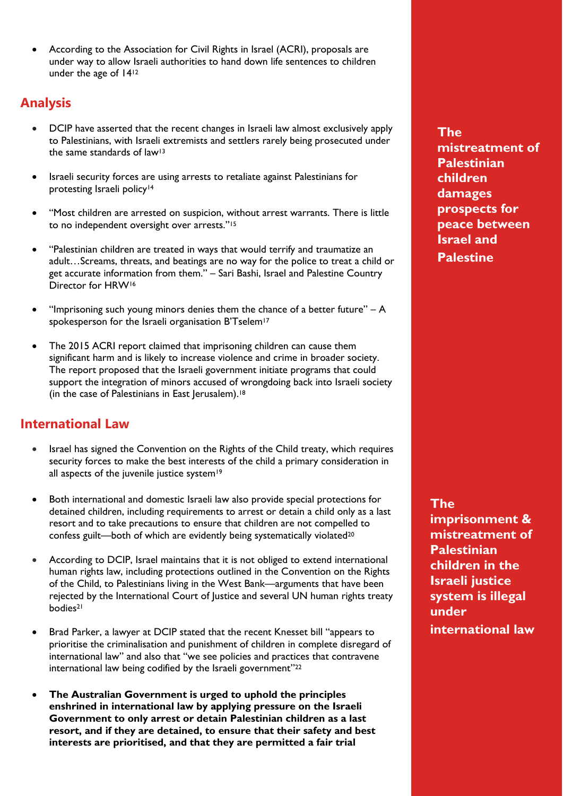According to the Association for Civil Rights in Israel (ACRI), proposals are under way to allow Israeli authorities to hand down life sentences to children under the age of 14<sup>12</sup>

## **Analysis**

- DCIP have asserted that the recent changes in Israeli law almost exclusively apply to Palestinians, with Israeli extremists and settlers rarely being prosecuted under the same standards of law<sup>13</sup>
- Israeli security forces are using arrests to retaliate against Palestinians for protesting Israeli policy<sup>14</sup>
- "Most children are arrested on suspicion, without arrest warrants. There is little to no independent oversight over arrests."<sup>15</sup>
- "Palestinian children are treated in ways that would terrify and traumatize an adult…Screams, threats, and beatings are no way for the police to treat a child or get accurate information from them." – Sari Bashi, Israel and Palestine Country Director for HRW<sup>16</sup>
- "Imprisoning such young minors denies them the chance of a better future"  $A$ spokesperson for the Israeli organisation B'Tselem<sup>17</sup>
- The 2015 ACRI report claimed that imprisoning children can cause them significant harm and is likely to increase violence and crime in broader society. The report proposed that the Israeli government initiate programs that could support the integration of minors accused of wrongdoing back into Israeli society (in the case of Palestinians in East Jerusalem).<sup>18</sup>

## **International Law**

- Israel has signed the Convention on the Rights of the Child treaty, which requires security forces to make the best interests of the child a primary consideration in all aspects of the juvenile justice system<sup>19</sup>
- Both international and domestic Israeli law also provide special protections for detained children, including requirements to arrest or detain a child only as a last resort and to take precautions to ensure that children are not compelled to confess guilt—both of which are evidently being systematically violated<sup>20</sup>
- According to DCIP, Israel maintains that it is not obliged to extend international human rights law, including protections outlined in the Convention on the Rights of the Child, to Palestinians living in the West Bank—arguments that have been rejected by the International Court of Justice and several UN human rights treaty bodies<sup>21</sup>
- Brad Parker, a lawyer at DCIP stated that the recent Knesset bill "appears to prioritise the criminalisation and punishment of children in complete disregard of international law" and also that "we see policies and practices that contravene international law being codified by the Israeli government"<sup>22</sup>
- **The Australian Government is urged to uphold the principles enshrined in international law by applying pressure on the Israeli Government to only arrest or detain Palestinian children as a last resort, and if they are detained, to ensure that their safety and best interests are prioritised, and that they are permitted a fair trial**

**The mistreatment of Palestinian children damages prospects for peace between Israel and Palestine**

**The imprisonment & mistreatment of Palestinian children in the Israeli justice system is illegal under international law**